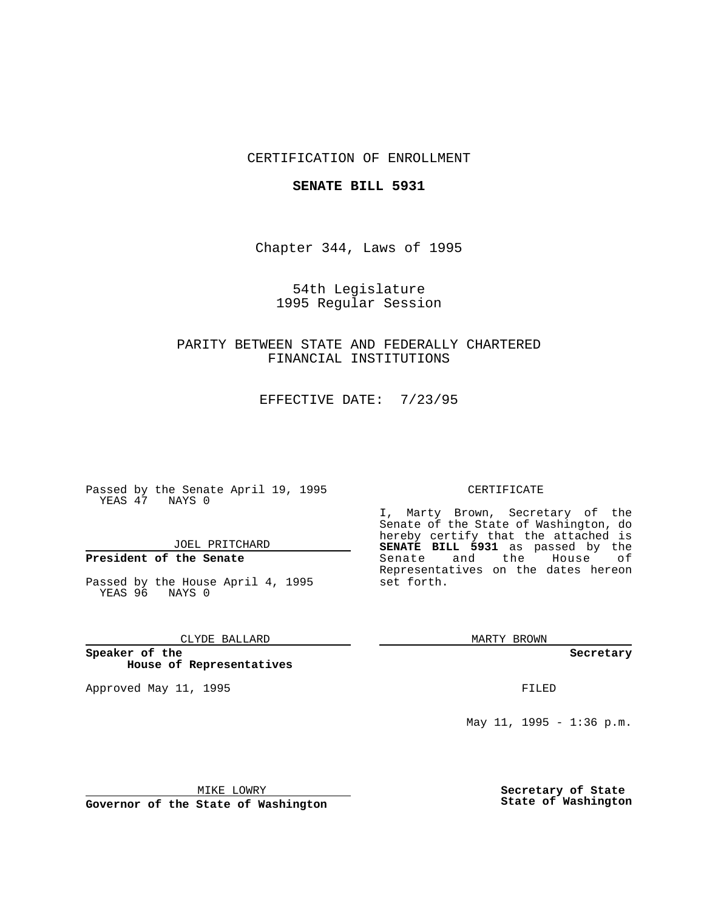### CERTIFICATION OF ENROLLMENT

#### **SENATE BILL 5931**

Chapter 344, Laws of 1995

54th Legislature 1995 Regular Session

PARITY BETWEEN STATE AND FEDERALLY CHARTERED FINANCIAL INSTITUTIONS

EFFECTIVE DATE: 7/23/95

Passed by the Senate April 19, 1995 YEAS 47 NAYS 0

JOEL PRITCHARD

# **President of the Senate**

Passed by the House April 4, 1995 YEAS 96 NAYS 0

#### CLYDE BALLARD

**Speaker of the House of Representatives**

Approved May 11, 1995 **FILED** 

#### CERTIFICATE

I, Marty Brown, Secretary of the Senate of the State of Washington, do hereby certify that the attached is **SENATE BILL 5931** as passed by the Senate and the House of Representatives on the dates hereon set forth.

MARTY BROWN

**Secretary**

May 11, 1995 - 1:36 p.m.

MIKE LOWRY

**Governor of the State of Washington**

**Secretary of State State of Washington**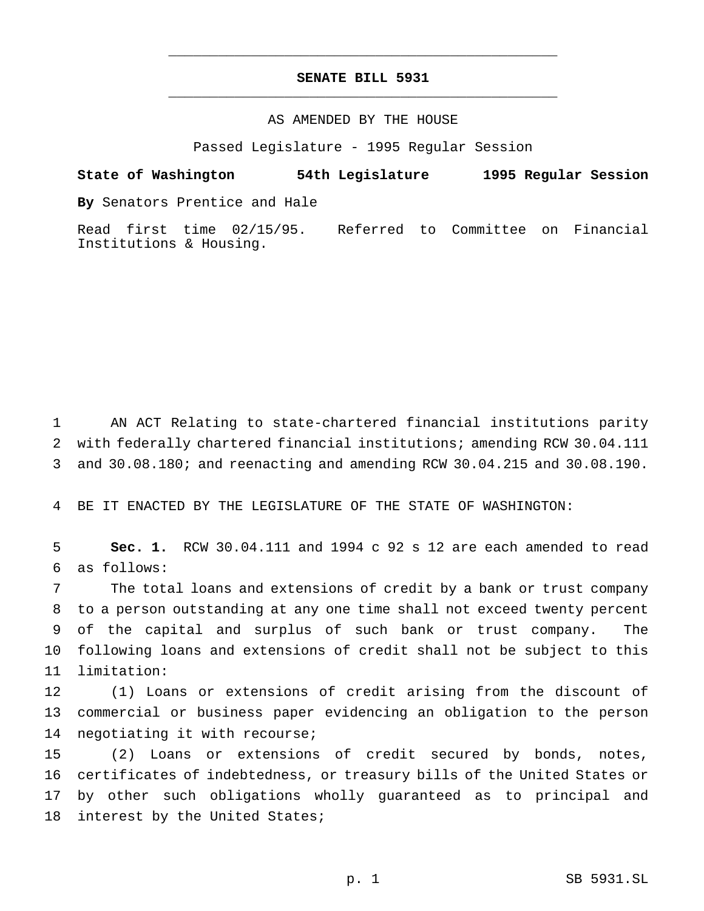## **SENATE BILL 5931** \_\_\_\_\_\_\_\_\_\_\_\_\_\_\_\_\_\_\_\_\_\_\_\_\_\_\_\_\_\_\_\_\_\_\_\_\_\_\_\_\_\_\_\_\_\_\_

\_\_\_\_\_\_\_\_\_\_\_\_\_\_\_\_\_\_\_\_\_\_\_\_\_\_\_\_\_\_\_\_\_\_\_\_\_\_\_\_\_\_\_\_\_\_\_

### AS AMENDED BY THE HOUSE

Passed Legislature - 1995 Regular Session

**State of Washington 54th Legislature 1995 Regular Session By** Senators Prentice and Hale

Read first time 02/15/95. Referred to Committee on Financial Institutions & Housing.

1 AN ACT Relating to state-chartered financial institutions parity 2 with federally chartered financial institutions; amending RCW 30.04.111 3 and 30.08.180; and reenacting and amending RCW 30.04.215 and 30.08.190.

4 BE IT ENACTED BY THE LEGISLATURE OF THE STATE OF WASHINGTON:

5 **Sec. 1.** RCW 30.04.111 and 1994 c 92 s 12 are each amended to read 6 as follows:

 The total loans and extensions of credit by a bank or trust company to a person outstanding at any one time shall not exceed twenty percent of the capital and surplus of such bank or trust company. The following loans and extensions of credit shall not be subject to this limitation:

12 (1) Loans or extensions of credit arising from the discount of 13 commercial or business paper evidencing an obligation to the person 14 negotiating it with recourse;

 (2) Loans or extensions of credit secured by bonds, notes, certificates of indebtedness, or treasury bills of the United States or by other such obligations wholly guaranteed as to principal and 18 interest by the United States;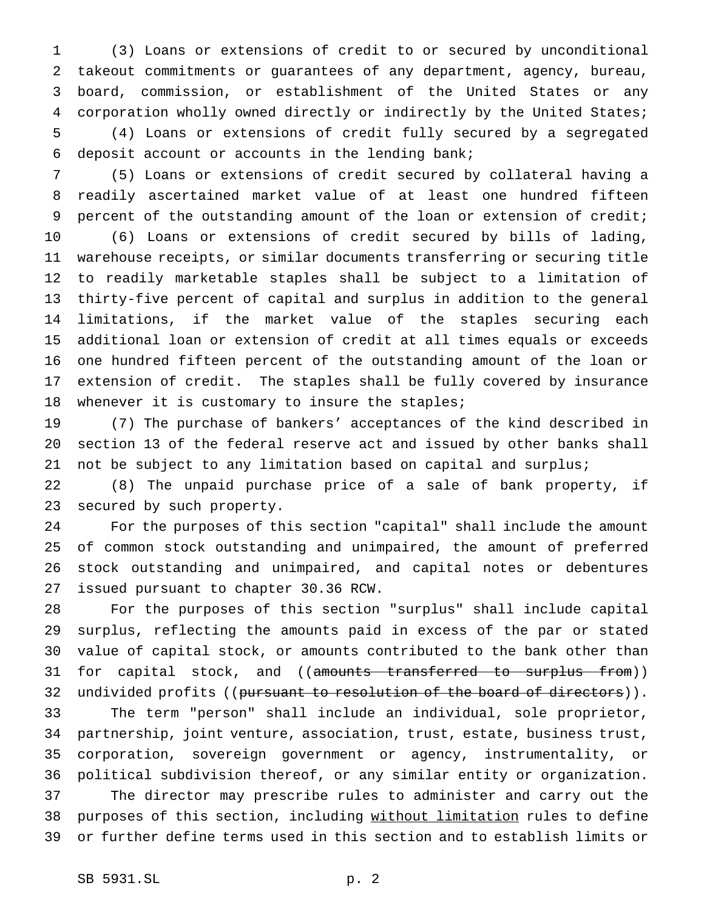(3) Loans or extensions of credit to or secured by unconditional takeout commitments or guarantees of any department, agency, bureau, board, commission, or establishment of the United States or any corporation wholly owned directly or indirectly by the United States; (4) Loans or extensions of credit fully secured by a segregated deposit account or accounts in the lending bank;

 (5) Loans or extensions of credit secured by collateral having a readily ascertained market value of at least one hundred fifteen percent of the outstanding amount of the loan or extension of credit; (6) Loans or extensions of credit secured by bills of lading, warehouse receipts, or similar documents transferring or securing title to readily marketable staples shall be subject to a limitation of thirty-five percent of capital and surplus in addition to the general limitations, if the market value of the staples securing each additional loan or extension of credit at all times equals or exceeds one hundred fifteen percent of the outstanding amount of the loan or extension of credit. The staples shall be fully covered by insurance 18 whenever it is customary to insure the staples;

 (7) The purchase of bankers' acceptances of the kind described in section 13 of the federal reserve act and issued by other banks shall not be subject to any limitation based on capital and surplus;

 (8) The unpaid purchase price of a sale of bank property, if secured by such property.

 For the purposes of this section "capital" shall include the amount of common stock outstanding and unimpaired, the amount of preferred stock outstanding and unimpaired, and capital notes or debentures issued pursuant to chapter 30.36 RCW.

 For the purposes of this section "surplus" shall include capital surplus, reflecting the amounts paid in excess of the par or stated value of capital stock, or amounts contributed to the bank other than 31 for capital stock, and ((amounts transferred to surplus from)) 32 undivided profits ((pursuant to resolution of the board of directors)).

 The term "person" shall include an individual, sole proprietor, partnership, joint venture, association, trust, estate, business trust, corporation, sovereign government or agency, instrumentality, or political subdivision thereof, or any similar entity or organization. The director may prescribe rules to administer and carry out the 38 purposes of this section, including without limitation rules to define or further define terms used in this section and to establish limits or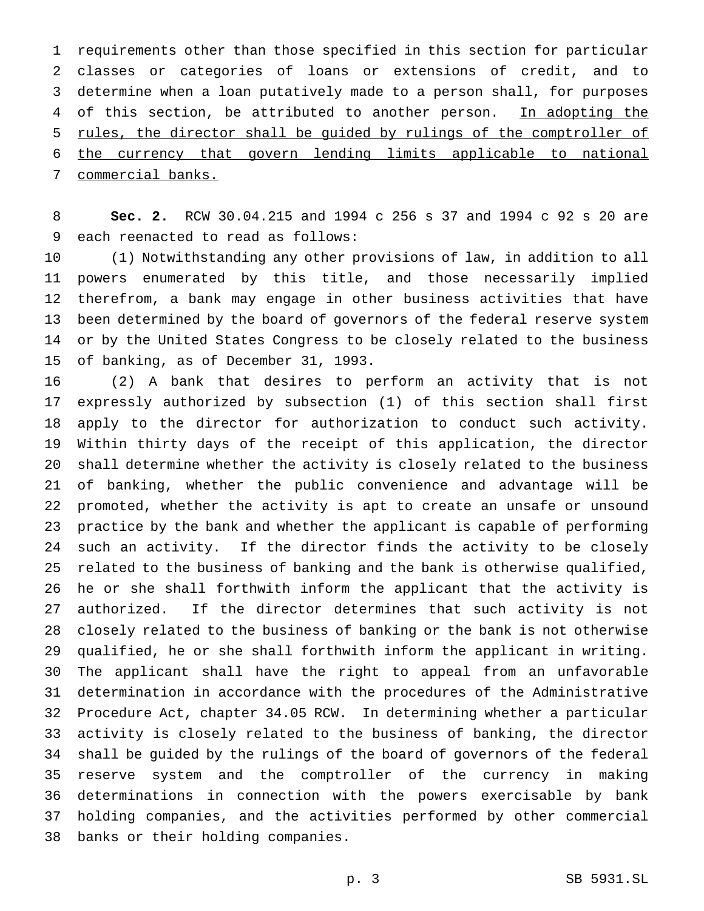requirements other than those specified in this section for particular classes or categories of loans or extensions of credit, and to determine when a loan putatively made to a person shall, for purposes 4 of this section, be attributed to another person. In adopting the rules, the director shall be guided by rulings of the comptroller of the currency that govern lending limits applicable to national commercial banks.

 **Sec. 2.** RCW 30.04.215 and 1994 c 256 s 37 and 1994 c 92 s 20 are each reenacted to read as follows:

 (1) Notwithstanding any other provisions of law, in addition to all powers enumerated by this title, and those necessarily implied therefrom, a bank may engage in other business activities that have been determined by the board of governors of the federal reserve system or by the United States Congress to be closely related to the business of banking, as of December 31, 1993.

 (2) A bank that desires to perform an activity that is not expressly authorized by subsection (1) of this section shall first apply to the director for authorization to conduct such activity. Within thirty days of the receipt of this application, the director shall determine whether the activity is closely related to the business of banking, whether the public convenience and advantage will be promoted, whether the activity is apt to create an unsafe or unsound practice by the bank and whether the applicant is capable of performing such an activity. If the director finds the activity to be closely related to the business of banking and the bank is otherwise qualified, he or she shall forthwith inform the applicant that the activity is authorized. If the director determines that such activity is not closely related to the business of banking or the bank is not otherwise qualified, he or she shall forthwith inform the applicant in writing. The applicant shall have the right to appeal from an unfavorable determination in accordance with the procedures of the Administrative Procedure Act, chapter 34.05 RCW. In determining whether a particular activity is closely related to the business of banking, the director shall be guided by the rulings of the board of governors of the federal reserve system and the comptroller of the currency in making determinations in connection with the powers exercisable by bank holding companies, and the activities performed by other commercial banks or their holding companies.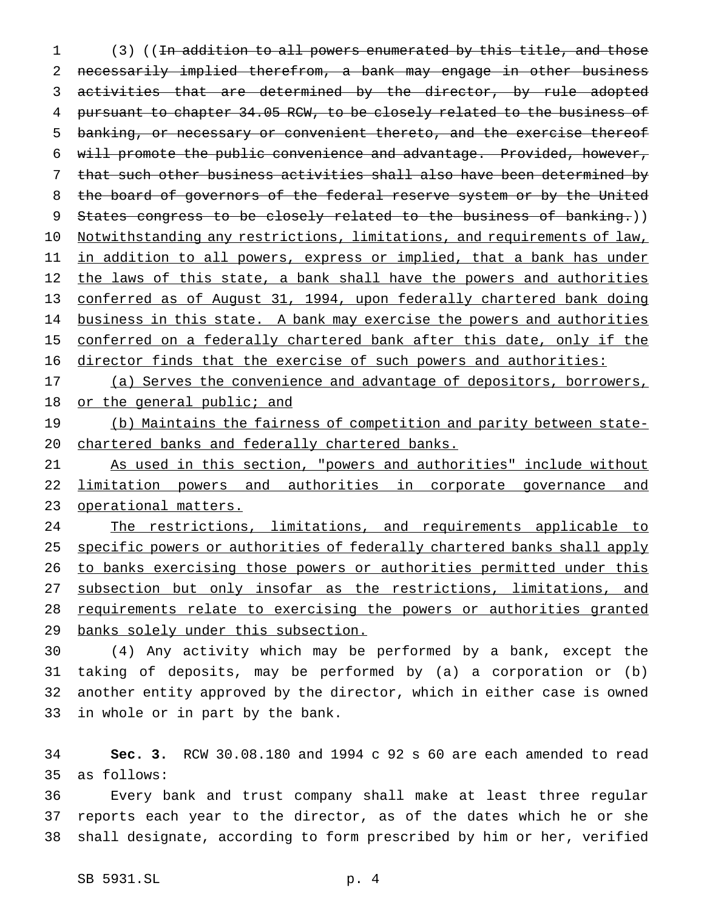(3) ((In addition to all powers enumerated by this title, and those necessarily implied therefrom, a bank may engage in other business 3 activities that are determined by the director, by rule adopted pursuant to chapter 34.05 RCW, to be closely related to the business of banking, or necessary or convenient thereto, and the exercise thereof will promote the public convenience and advantage. Provided, however, that such other business activities shall also have been determined by 8 the board of governors of the federal reserve system or by the United 9 States congress to be closely related to the business of banking.)) 10 Notwithstanding any restrictions, limitations, and requirements of law, 11 in addition to all powers, express or implied, that a bank has under 12 the laws of this state, a bank shall have the powers and authorities conferred as of August 31, 1994, upon federally chartered bank doing 14 business in this state. A bank may exercise the powers and authorities 15 conferred on a federally chartered bank after this date, only if the director finds that the exercise of such powers and authorities:

 (a) Serves the convenience and advantage of depositors, borrowers, 18 or the general public; and

19 (b) Maintains the fairness of competition and parity between state-chartered banks and federally chartered banks.

 As used in this section, "powers and authorities" include without limitation powers and authorities in corporate governance and 23 operational matters.

24 The restrictions, limitations, and requirements applicable to 25 specific powers or authorities of federally chartered banks shall apply to banks exercising those powers or authorities permitted under this 27 subsection but only insofar as the restrictions, limitations, and requirements relate to exercising the powers or authorities granted banks solely under this subsection.

 (4) Any activity which may be performed by a bank, except the taking of deposits, may be performed by (a) a corporation or (b) another entity approved by the director, which in either case is owned in whole or in part by the bank.

 **Sec. 3.** RCW 30.08.180 and 1994 c 92 s 60 are each amended to read as follows:

 Every bank and trust company shall make at least three regular reports each year to the director, as of the dates which he or she shall designate, according to form prescribed by him or her, verified